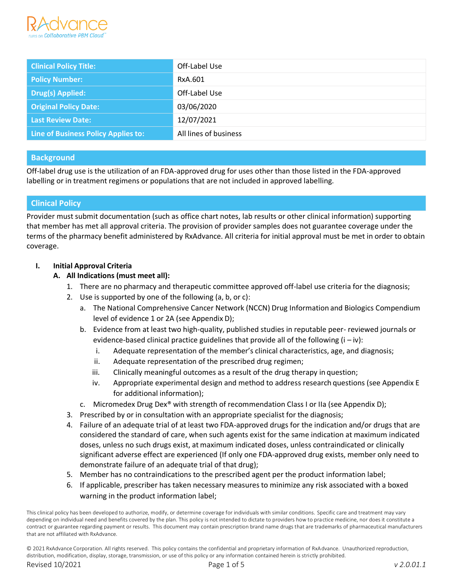

| <b>Clinical Policy Title:</b>       | Off-Label Use         |
|-------------------------------------|-----------------------|
| <b>Policy Number:</b>               | RxA.601               |
| <b>Drug(s) Applied:</b>             | Off-Label Use         |
| <b>Original Policy Date:</b>        | 03/06/2020            |
| <b>Last Review Date:</b>            | 12/07/2021            |
| Line of Business Policy Applies to: | All lines of business |

## **Background**

Off-label drug use is the utilization of an FDA-approved drug for uses other than those listed in the FDA-approved labelling or in treatment regimens or populations that are not included in approved labelling.

# **Clinical Policy**

Provider must submit documentation (such as office chart notes, lab results or other clinical information) supporting that member has met all approval criteria. The provision of provider samples does not guarantee coverage under the terms of the pharmacy benefit administered by RxAdvance. All criteria for initial approval must be met in order to obtain coverage.

## **I. Initial Approval Criteria**

## **A. All Indications (must meet all):**

- 1. There are no pharmacy and therapeutic committee approved off-label use criteria for the diagnosis;
- 2. Use is supported by one of the following (a, b, or c):
	- a. The National Comprehensive Cancer Network (NCCN) Drug Information and Biologics Compendium level of evidence 1 or 2A (see Appendix D);
	- b. Evidence from at least two high-quality, published studies in reputable peer- reviewed journals or evidence-based clinical practice guidelines that provide all of the following  $(i - iv)$ :
		- i. Adequate representation of the member's clinical characteristics, age, and diagnosis;
		- ii. Adequate representation of the prescribed drug regimen;
		- iii. Clinically meaningful outcomes as a result of the drug therapy in question;
		- iv. Appropriate experimental design and method to address research questions (see Appendix E for additional information);
	- c. Micromedex Drug Dex® with strength of recommendation Class I or IIa (see Appendix D);
- 3. Prescribed by or in consultation with an appropriate specialist for the diagnosis;
- 4. Failure of an adequate trial of at least two FDA-approved drugs for the indication and/or drugs that are considered the standard of care, when such agents exist for the same indication at maximum indicated doses, unless no such drugs exist, at maximum indicated doses, unless contraindicated or clinically significant adverse effect are experienced (If only one FDA-approved drug exists, member only need to demonstrate failure of an adequate trial of that drug);
- 5. Member has no contraindications to the prescribed agent per the product information label;
- 6. If applicable, prescriber has taken necessary measures to minimize any risk associated with a boxed warning in the product information label;

This clinical policy has been developed to authorize, modify, or determine coverage for individuals with similar conditions. Specific care and treatment may vary depending on individual need and benefits covered by the plan. This policy is not intended to dictate to providers how to practice medicine, nor does it constitute a contract or guarantee regarding payment or results. This document may contain prescription brand name drugs that are trademarks of pharmaceutical manufacturers that are not affiliated with RxAdvance.

© 2021 RxAdvance Corporation. All rights reserved. This policy contains the confidential and proprietary information of RxAdvance. Unauthorized reproduction, distribution, modification, display, storage, transmission, or use of this policy or any information contained herein is strictly prohibited. Revised 10/2021 Page 1 of 5 *v 2.0.01.1*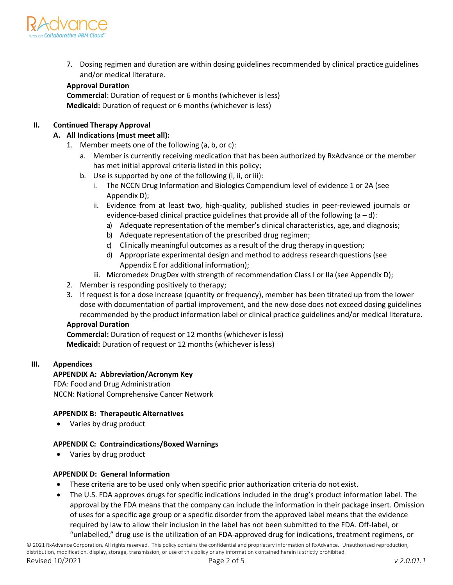

7. Dosing regimen and duration are within dosing guidelines recommended by clinical practice guidelines and/or medical literature.

## **Approval Duration**

**Commercial**: Duration of request or 6 months (whichever is less) **Medicaid:** Duration of request or 6 months (whichever is less)

#### **II. Continued Therapy Approval**

#### **A. All Indications (must meet all):**

- 1. Member meets one of the following (a, b, or c):
	- a. Member is currently receiving medication that has been authorized by RxAdvance or the member has met initial approval criteria listed in this policy;
	- b. Use is supported by one of the following (i, ii, or iii):
		- i. The NCCN Drug Information and Biologics Compendium level of evidence 1 or 2A (see Appendix D);
		- ii. Evidence from at least two, high-quality, published studies in peer-reviewed journals or evidence-based clinical practice guidelines that provide all of the following  $(a-d)$ :
			- a) Adequate representation of the member's clinical characteristics, age, and diagnosis;
			- b) Adequate representation of the prescribed drug regimen;
			- c) Clinically meaningful outcomes as a result of the drug therapy in question;
			- d) Appropriate experimental design and method to address research questions (see Appendix E for additional information);
		- iii. Micromedex DrugDex with strength of recommendation Class I or IIa (see Appendix D);
- 2. Member is responding positively to therapy;
- 3. If request is for a dose increase (quantity or frequency), member has been titrated up from the lower dose with documentation of partial improvement, and the new dose does not exceed dosing guidelines recommended by the product information label or clinical practice guidelines and/or medical literature.

# **Approval Duration**

**Commercial:** Duration of request or 12 months (whichever isless) **Medicaid:** Duration of request or 12 months (whichever isless)

#### **III. Appendices**

## **APPENDIX A: Abbreviation/Acronym Key**

FDA: Food and Drug Administration NCCN: National Comprehensive Cancer Network

## **APPENDIX B: Therapeutic Alternatives**

Varies by drug product

## **APPENDIX C: Contraindications/Boxed Warnings**

• Varies by drug product

## **APPENDIX D: General Information**

- These criteria are to be used only when specific prior authorization criteria do not exist.
- The U.S. FDA approves drugs for specific indications included in the drug's product information label. The approval by the FDA means that the company can include the information in their package insert. Omission of uses for a specific age group or a specific disorder from the approved label means that the evidence required by law to allow their inclusion in the label has not been submitted to the FDA. Off-label, or "unlabelled," drug use is the utilization of an FDA-approved drug for indications, treatment regimens, or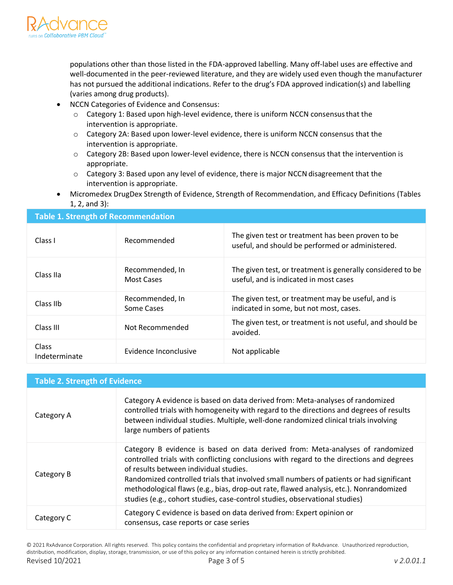

populations other than those listed in the FDA-approved labelling. Many off-label uses are effective and well-documented in the peer-reviewed literature, and they are widely used even though the manufacturer has not pursued the additional indications. Refer to the drug's FDA approved indication(s) and labelling (varies among drug products).

- NCCN Categories of Evidence and Consensus:
	- o Category 1: Based upon high-level evidence, there is uniform NCCN consensusthat the intervention is appropriate.
	- o Category 2A: Based upon lower-level evidence, there is uniform NCCN consensus that the intervention is appropriate.
	- o Category 2B: Based upon lower-level evidence, there is NCCN consensus that the intervention is appropriate.
	- $\circ$  Category 3: Based upon any level of evidence, there is major NCCN disagreement that the intervention is appropriate.
	- Micromedex DrugDex Strength of Evidence, Strength of Recommendation, and Efficacy Definitions (Tables 1, 2, and 3):

#### **Table 1. Strength of Recommendation**

| Class I                       | Recommended                   | The given test or treatment has been proven to be<br>useful, and should be performed or administered. |
|-------------------------------|-------------------------------|-------------------------------------------------------------------------------------------------------|
| Class IIa                     | Recommended, In<br>Most Cases | The given test, or treatment is generally considered to be<br>useful, and is indicated in most cases  |
| Class IIb                     | Recommended, In<br>Some Cases | The given test, or treatment may be useful, and is<br>indicated in some, but not most, cases.         |
| Class III                     | Not Recommended               | The given test, or treatment is not useful, and should be<br>avoided.                                 |
| <b>Class</b><br>Indeterminate | Evidence Inconclusive         | Not applicable                                                                                        |

| <b>Table 2. Strength of Evidence</b> |                                                                                                                                                                                                                                                                                                                                                                                                                                                                                          |  |
|--------------------------------------|------------------------------------------------------------------------------------------------------------------------------------------------------------------------------------------------------------------------------------------------------------------------------------------------------------------------------------------------------------------------------------------------------------------------------------------------------------------------------------------|--|
| Category A                           | Category A evidence is based on data derived from: Meta-analyses of randomized<br>controlled trials with homogeneity with regard to the directions and degrees of results<br>between individual studies. Multiple, well-done randomized clinical trials involving<br>large numbers of patients                                                                                                                                                                                           |  |
| Category B                           | Category B evidence is based on data derived from: Meta-analyses of randomized<br>controlled trials with conflicting conclusions with regard to the directions and degrees<br>of results between individual studies.<br>Randomized controlled trials that involved small numbers of patients or had significant<br>methodological flaws (e.g., bias, drop-out rate, flawed analysis, etc.). Nonrandomized<br>studies (e.g., cohort studies, case-control studies, observational studies) |  |
| Category C                           | Category C evidence is based on data derived from: Expert opinion or<br>consensus, case reports or case series                                                                                                                                                                                                                                                                                                                                                                           |  |

© 2021 RxAdvance Corporation. All rights reserved. This policy contains the confidential and proprietary information of RxAdvance. Unauthorized reproduction, distribution, modification, display, storage, transmission, or use of this policy or any information contained herein is strictly prohibited. Revised 10/2021 Page 3 of 5 *v 2.0.01.1*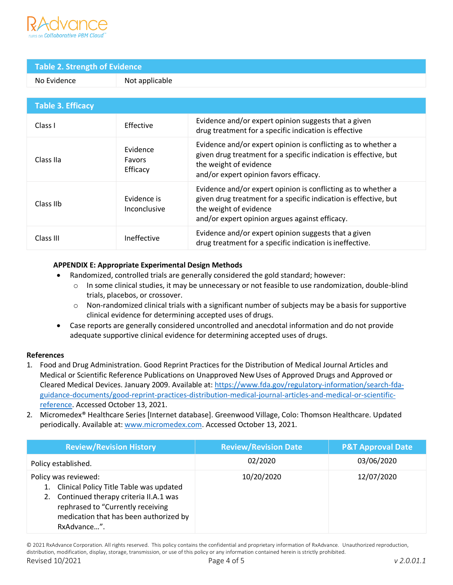

# **Table 2. Strength of Evidence** No Evidence Not applicable

| <b>Table 3. Efficacy</b> |                                       |                                                                                                                                                                                                               |  |  |
|--------------------------|---------------------------------------|---------------------------------------------------------------------------------------------------------------------------------------------------------------------------------------------------------------|--|--|
| Class I                  | <b>Effective</b>                      | Evidence and/or expert opinion suggests that a given<br>drug treatment for a specific indication is effective                                                                                                 |  |  |
| Class IIa                | Evidence<br><b>Favors</b><br>Efficacy | Evidence and/or expert opinion is conflicting as to whether a<br>given drug treatment for a specific indication is effective, but<br>the weight of evidence<br>and/or expert opinion favors efficacy.         |  |  |
| Class IIb                | Evidence is<br>Inconclusive           | Evidence and/or expert opinion is conflicting as to whether a<br>given drug treatment for a specific indication is effective, but<br>the weight of evidence<br>and/or expert opinion argues against efficacy. |  |  |
| Class III                | Ineffective                           | Evidence and/or expert opinion suggests that a given<br>drug treatment for a specific indication is ineffective.                                                                                              |  |  |

## **APPENDIX E: Appropriate Experimental Design Methods**

- Randomized, controlled trials are generally considered the gold standard; however:
	- $\circ$  In some clinical studies, it may be unnecessary or not feasible to use randomization, double-blind trials, placebos, or crossover.
	- $\circ$  Non-randomized clinical trials with a significant number of subjects may be a basis for supportive clinical evidence for determining accepted uses of drugs.
- Case reports are generally considered uncontrolled and anecdotal information and do not provide adequate supportive clinical evidence for determining accepted uses of drugs.

## **References**

- 1. Food and Drug Administration. Good Reprint Practices for the Distribution of Medical Journal Articles and Medical or Scientific Reference Publications on Unapproved NewUses of Approved Drugs and Approved or Cleared Medical Devices. January 2009. Available at: [https://www.fda.gov/regulatory-information/search-fda](https://www.fda.gov/regulatory-information/search-fda-guidance-documents/good-reprint-practices-distribution-medical-journal-articles-and-medical-or-scientific-reference)[guidance-documents/good-reprint-practices-distribution-medical-journal-articles-and-medical-or-scientific](https://www.fda.gov/regulatory-information/search-fda-guidance-documents/good-reprint-practices-distribution-medical-journal-articles-and-medical-or-scientific-reference)[reference.](https://www.fda.gov/regulatory-information/search-fda-guidance-documents/good-reprint-practices-distribution-medical-journal-articles-and-medical-or-scientific-reference) Accessed October 13, 2021.
- 2. Micromedex® Healthcare Series [Internet database]. Greenwood Village, Colo: Thomson Healthcare. Updated periodically. Available at[: www.micromedex.com.](http://www.micromedex.com/) Accessed October 13, 2021.

| <b>Review/Revision History</b>                                                                                                                                                                                     | <b>Review/Revision Date</b> | <b>P&amp;T Approval Date</b> |
|--------------------------------------------------------------------------------------------------------------------------------------------------------------------------------------------------------------------|-----------------------------|------------------------------|
| Policy established.                                                                                                                                                                                                | 02/2020                     | 03/06/2020                   |
| Policy was reviewed:<br>Clinical Policy Title Table was updated<br>1.<br>Continued therapy criteria II.A.1 was<br>2.<br>rephrased to "Currently receiving<br>medication that has been authorized by<br>RxAdvance". | 10/20/2020                  | 12/07/2020                   |

© 2021 RxAdvance Corporation. All rights reserved. This policy contains the confidential and proprietary information of RxAdvance. Unauthorized reproduction, distribution, modification, display, storage, transmission, or use of this policy or any information contained herein is strictly prohibited.